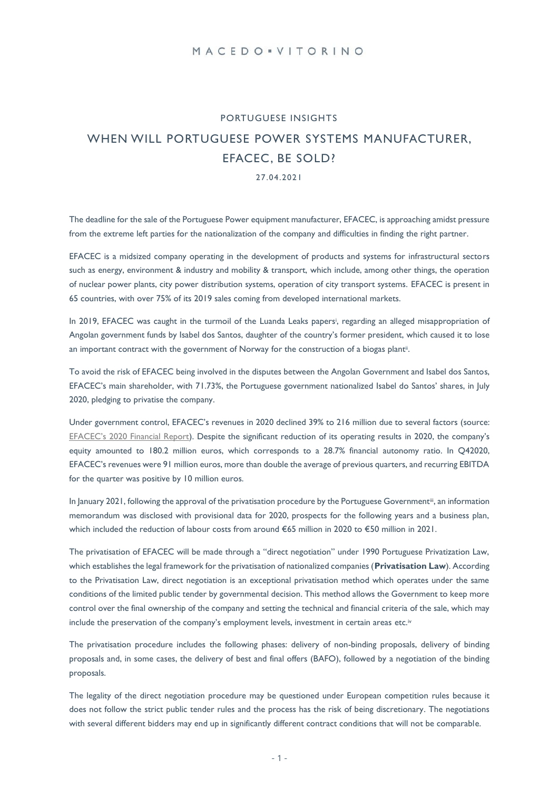# PORTUGUESE INSIGHTS WHEN WILL PORTUGUESE POWER SYSTEMS MANUFACTURER, EFACEC, BE SOLD?

27.04.2021

The deadline for the sale of the Portuguese Power equipment manufacturer, EFACEC, is approaching amidst pressure from the extreme left parties for the nationalization of the company and difficulties in finding the right partner.

EFACEC is a midsized company operating in the development of products and systems for infrastructural sectors such as energy, environment & industry and mobility & transport, which include, among other things, the operation of nuclear power plants, city power distribution systems, operation of city transport systems. EFACEC is present in 65 countries, with over 75% of its 2019 sales coming from developed international markets.

In 2019, EFACEC was caught in the turmoil of the Luanda Leaks papersi, regarding an alleged misappropriation of Angolan government funds by Isabel dos Santos, daughter of the country's former president, which caused it to lose an important contract with the government of Norway for the construction of a biogas plantii .

To avoid the risk of EFACEC being involved in the disputes between the Angolan Government and Isabel dos Santos, EFACEC's main shareholder, with 71.73%, the Portuguese government nationalized Isabel do Santos' shares, in July 2020, pledging to privatise the company.

Under government control, EFACEC's revenues in 2020 declined 39% to 216 million due to several factors (source: [EFACEC's 2020 Financial Report](https://www.efacec.pt/en/financial-information/)). Despite the significant reduction of its operating results in 2020, the company's equity amounted to 180.2 million euros, which corresponds to a 28.7% financial autonomy ratio. In Q42020, EFACEC's revenues were 91 million euros, more than double the average of previous quarters, and recurring EBITDA for the quarter was positive by 10 million euros.

In January 2021, following the approval of the privatisation procedure by the Portuguese Government<sup>ii</sup>, an information memorandum was disclosed with provisional data for 2020, prospects for the following years and a business plan, which included the reduction of labour costs from around €65 million in 2020 to €50 million in 2021.

The privatisation of EFACEC will be made through a "direct negotiation" under 1990 Portuguese Privatization Law, which establishes the legal framework for the privatisation of nationalized companies (**Privatisation Law**). According to the Privatisation Law, direct negotiation is an exceptional privatisation method which operates under the same conditions of the limited public tender by governmental decision. This method allows the Government to keep more control over the final ownership of the company and setting the technical and financial criteria of the sale, which may include the preservation of the company's employment levels, investment in certain areas etc.<sup>iv</sup>

The privatisation procedure includes the following phases: delivery of non-binding proposals, delivery of binding proposals and, in some cases, the delivery of best and final offers (BAFO), followed by a negotiation of the binding proposals.

The legality of the direct negotiation procedure may be questioned under European competition rules because it does not follow the strict public tender rules and the process has the risk of being discretionary. The negotiations with several different bidders may end up in significantly different contract conditions that will not be comparable.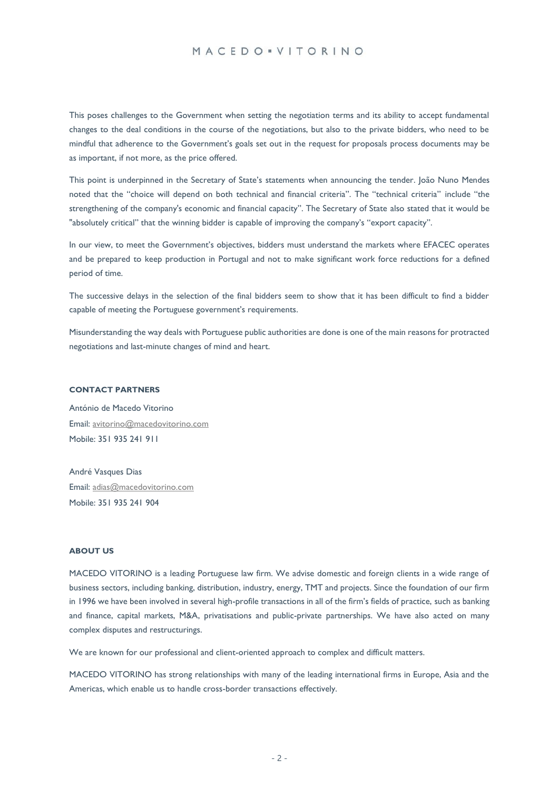### MACEDO · VITORINO

This poses challenges to the Government when setting the negotiation terms and its ability to accept fundamental changes to the deal conditions in the course of the negotiations, but also to the private bidders, who need to be mindful that adherence to the Government's goals set out in the request for proposals process documents may be as important, if not more, as the price offered.

This point is underpinned in the Secretary of State's statements when announcing the tender. João Nuno Mendes noted that the "choice will depend on both technical and financial criteria". The "technical criteria" include "the strengthening of the company's economic and financial capacity". The Secretary of State also stated that it would be "absolutely critical" that the winning bidder is capable of improving the company's "export capacity".

In our view, to meet the Government's objectives, bidders must understand the markets where EFACEC operates and be prepared to keep production in Portugal and not to make significant work force reductions for a defined period of time.

The successive delays in the selection of the final bidders seem to show that it has been difficult to find a bidder capable of meeting the Portuguese government's requirements.

Misunderstanding the way deals with Portuguese public authorities are done is one of the main reasons for protracted negotiations and last-minute changes of mind and heart.

#### **CONTACT PARTNERS**

António de Macedo Vitorino Email[: avitorino@macedovitorino.com](mailto:avitorino@macedovitorino.com) Mobile: 351 935 241 911

André Vasques Dias Email[: adias@macedovitorino.com](mailto:adias@macedovitorino.com) Mobile: 351 935 241 904

#### **ABOUT US**

MACEDO VITORINO is a leading Portuguese law firm. We advise domestic and foreign clients in a wide range of business sectors, including banking, distribution, industry, energy, TMT and projects. Since the foundation of our firm in 1996 we have been involved in several high-profile transactions in all of the firm's fields of practice, such as banking and finance, capital markets, M&A, privatisations and public-private partnerships. We have also acted on many complex disputes and restructurings.

We are known for our professional and client-oriented approach to complex and difficult matters.

MACEDO VITORINO has strong relationships with many of the leading international firms in Europe, Asia and the Americas, which enable us to handle cross-border transactions effectively.